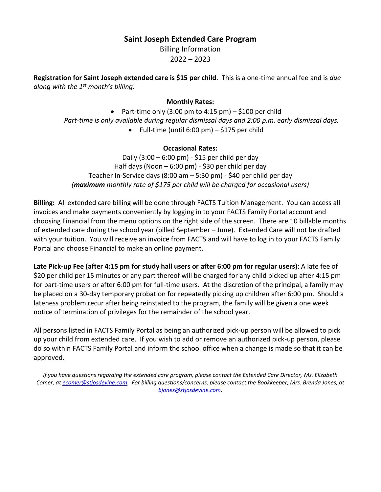## **Saint Joseph Extended Care Program**

Billing Information

2022 – 2023

**Registration for Saint Joseph extended care is \$15 per child**. This is a one-time annual fee and is *due along with the 1st month's billing.*

## **Monthly Rates:**

• Part-time only  $(3:00 \text{ pm to } 4:15 \text{ pm}) - $100 \text{ per child}$ *Part-time is only available during regular dismissal days and 2:00 p.m. early dismissal days.* • Full-time (until 6:00 pm)  $-$  \$175 per child

## **Occasional Rates:**

Daily (3:00 – 6:00 pm) - \$15 per child per day Half days (Noon – 6:00 pm) - \$30 per child per day Teacher In-Service days (8:00 am – 5:30 pm) - \$40 per child per day *(maximum monthly rate of \$175 per child will be charged for occasional users)*

**Billing:** All extended care billing will be done through FACTS Tuition Management. You can access all invoices and make payments conveniently by logging in to your FACTS Family Portal account and choosing Financial from the menu options on the right side of the screen. There are 10 billable months of extended care during the school year (billed September – June). Extended Care will not be drafted with your tuition. You will receive an invoice from FACTS and will have to log in to your FACTS Family Portal and choose Financial to make an online payment.

**Late Pick-up Fee (after 4:15 pm for study hall users or after 6:00 pm for regular users)**: A late fee of \$20 per child per 15 minutes or any part thereof will be charged for any child picked up after 4:15 pm for part-time users or after 6:00 pm for full-time users. At the discretion of the principal, a family may be placed on a 30-day temporary probation for repeatedly picking up children after 6:00 pm. Should a lateness problem recur after being reinstated to the program, the family will be given a one week notice of termination of privileges for the remainder of the school year.

All persons listed in FACTS Family Portal as being an authorized pick-up person will be allowed to pick up your child from extended care. If you wish to add or remove an authorized pick-up person, please do so within FACTS Family Portal and inform the school office when a change is made so that it can be approved.

*If you have questions regarding the extended care program, please contact the Extended Care Director, Ms. Elizabeth Comer, a[t ecomer@stjosdevine.com.](mailto:ecomer@stjosdevine.com) For billing questions/concerns, please contact the Bookkeeper, Mrs. Brenda Jones, at [bjones@stjosdevine.com.](mailto:bjones@stjosdevine.com)*